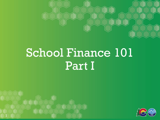

# School Finance 101 Part I



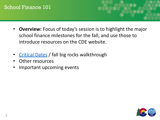- **Overview:** Focus of today's session is to highlight the major school finance milestones for the fall, and use those to introduce resources on the CDE website.
- [Critical Dates](https://www.cde.state.co.us/cdefinance/fppcriticaldatesfy2021-22) / fall big rocks walkthrough
- Other resources
- Important upcoming events

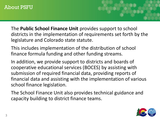#### About PSFU

The **Public School Finance Unit** provides support to school districts in the implementation of requirements set forth by the legislature and Colorado state statute.

This includes implementation of the distribution of school finance formula funding and other funding streams.

In addition, we provide support to districts and boards of cooperative educational services (BOCES) by assisting with submission of required financial data, providing reports of financial data and assisting with the implementation of various school finance legislation.

The School Finance Unit also provides technical guidance and capacity building to district finance teams.

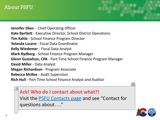#### About PSFU

**Jennifer Okes** - Chief Operating Officer **Kate Bartlett** - Executive Director, School District Operations **Tim Kahle** - School Finance Program Director **Yolanda Lucero** - Fiscal Data Coordinator **Kelly Wiedemer** - Fiscal Data Analyst **Mark Rydberg** - School Finance Program Manager **Glenn Gustafson, CPA** - Part-Time School Finance Program Manager **David Miller** - Data Analyst **Megan Richardson** - Program Associate **Rebecca McRee** - Audit Supervisor **Rich Hull** - Part-Time School Finance Analyst and Auditor

**Ack! Who do I contact about what?!** Visit the [PSFU Contacts page](https://www.cde.state.co.us/cdefinance/psfucontacts) and see "Contact for questions about…."

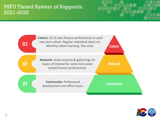#### PSFU Tiered System of Supports: 2021-2022



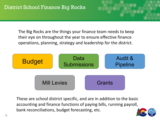The Big Rocks are the things your finance team needs to keep their eye on throughout the year to ensure effective finance operations, planning, strategy and leadership for the district.



These are school district specific, and are in addition to the basic accounting and finance functions of paying bills, running payroll, bank reconciliations, budget forecasting, etc.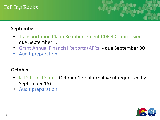#### Fall Big Rocks



#### **September**

- Transportation Claim Reimbursement CDE 40 submission due September 15
- Grant Annual Financial Reports (AFRs) due September 30
- Audit preparation

#### **October**

- K-12 Pupil Count October 1 or alternative (if requested by September 15)
- Audit preparation

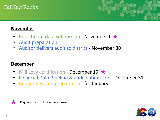#### Fall Big Rocks



#### **November**

- Pupil Count data submission November  $1 \times$
- Audit preparation
- Auditor delivers audit to district November 30

#### **December**

- Mill Levy certification December 15  $\star$
- Financial Data Pipeline & audit submission December 31
- Budget Revision preparation for January



Requires Board of Education approval

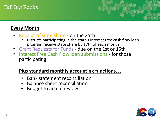#### Fall Big Rocks

#### **Every Month**

- Receipt of state share on the 25th
	- Districts participating in the state's interest free cash flow loan program receive state share by 17th of each month
- Grant Requests for Funds due on the 1st or 15th
- Interest Free Cash Flow loan submissions for those participating

#### **Plus standard monthly accounting functions…**

- Bank statement reconciliation
- Balance sheet reconciliation
- Budget to actual review

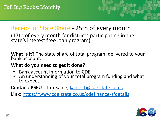## Receipt of State Share - 25th of every month

(17th of every month for districts participating in the state's interest free loan program)

**What is it?** The state share of total program, delivered to your bank account.

#### **What do you need to get it done?**

- Bank account information to CDE.
- An understanding of your total program funding and what to expect.

**Contact: PSFU -** Tim Kahle, [kahle\\_t@cde.state.co.us](mailto:kahle_t@cde.state.co.us)

**Link:** <https://www.cde.state.co.us/cdefinance/sfdetails>

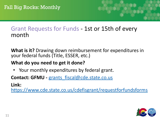## Grant Requests for Funds - 1st or 15th of every month

**What is it?** Drawing down reimbursement for expenditures in your federal funds (Title, ESSER, etc.)

#### **What do you need to get it done?**

• Your monthly expenditures by federal grant.

Contact: GFMU - [grants\\_fiscal@cde.state.co.us](mailto:grants_fiscal@cde.state.co.us)

**Link:**

<https://www.cde.state.co.us/cdefisgrant/requestforfundsforms>

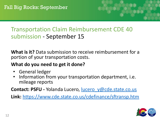# Transportation Claim Reimbursement CDE 40 submission - September 15

**What is it?** Data submission to receive reimbursement for a portion of your transportation costs.

#### **What do you need to get it done?**

- General ledger
- Information from your transportation department, i.e. mileage reports

**Contact: PSFU - Yolanda Lucero, lucero** y@cde.state.co.us

**Link:** <https://www.cde.state.co.us/cdefinance/sftransp.htm>

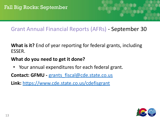## Grant Annual Financial Reports (AFRs) - September 30

**What is it?** End of year reporting for federal grants, including ESSER.

#### **What do you need to get it done?**

• Your annual expenditures for each federal grant.

**Contact: GFMU - grants fiscal@cde.state.co.us** 

**Link:** <https://www.cde.state.co.us/cdefisgrant>

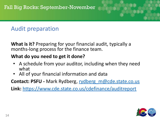## Audit preparation

**What is it?** Preparing for your financial audit, typically a months-long process for the finance team.

#### **What do you need to get it done?**

- A schedule from your auditor, including when they need what
- All of your financial information and data

**Contact: PSFU -** Mark Rydberg, [rydberg\\_m@cde.state.co.us](mailto:rydberg_m@cde.state.co.us)

**Link:** <https://www.cde.state.co.us/cdefinance/auditreport>

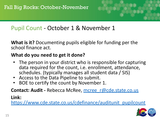## Pupil Count - October 1 & November 1

**What is it?** Documenting pupils eligible for funding per the school finance act.

#### **What do you need to get it done?**

- The person in your district who is responsible for capturing data required for the count, i.e. enrollment, attendance, schedules. (typically manages all student data / SIS)
- Access to the Data Pipeline to submit.
- BOE to certify the count by November 1.

**Contact: Audit - Rebecca McRee, mcree r@cde.state.co.us** 

#### **Link:**

[https://www.cde.state.co.us/cdefinance/auditunit\\_pupilcount](https://www.cde.state.co.us/cdefinance/auditunit_pupilcount)

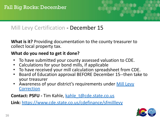

## Mill Levy Certification - December 15

**What is it?** Providing documentation to the county treasurer to collect local property tax.

#### **What do you need to get it done?**

- To have submitted your county assessed valuation to CDE.
- Calculations for your bond mills, if applicable
- To have received your mill calculation spreadsheet from CDE.
- Board of Education approval BEFORE December 15--then take to your treasurer
- Awareness of your district's requirements under [Mill Levy](https://www.cde.state.co.us/cdefinance/milllevycorrection) **[Correction](https://www.cde.state.co.us/cdefinance/milllevycorrection)**

**Contact: PSFU - Tim Kahle, kahle t@cde.state.co.us** 

**Link:** <https://www.cde.state.co.us/cdefinance/sfmilllevy>

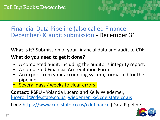## Financial Data Pipeline (also called Finance December) & audit submission - December 31

**What is it?** Submission of your financial data and audit to CDE

#### **What do you need to get it done?**

- A completed audit, including the auditor's integrity report.
- A completed Financial Accreditation Form.
- An export from your accounting system, formatted for the pipeline.
- Several days / weeks to clear errors!

**Contact: PSFU -** Yolanda Lucero and Kelly Wiedemer, lucero l@cde.state.co.us, wiedemer k@cde.state.co.us

**Link:** <https://www.cde.state.co.us/cdefinance> (Data Pipeline)

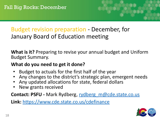## Budget revision preparation - December, for January Board of Education meeting

**What is it?** Preparing to revise your annual budget and Uniform Budget Summary.

#### **What do you need to get it done?**

- Budget to actuals for the first half of the year
- Any changes to the district's strategic plan, emergent needs
- Any updated allocations for state, federal dollars
- New grants received

**Contact: PSFU -** Mark Rydberg, [rydberg\\_m@cde.state.co.us](mailto:rydberg_m@cde.state.co.us)

**Link:** <https://www.cde.state.co.us/cdefinance>

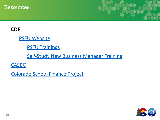



#### **CDE**

**[PSFU Website](https://www.cde.state.co.us/cdefinance)** 

**[PSFU Trainings](https://www.cde.state.co.us/cdefinance/upcomingschoolfinancetownhallsandtrainings)** 

[Self-Study New Business Manager Training](https://www.cde.state.co.us/cdefinance/selftrainingsessions)

**[CASBO](https://www.coloradoasbo.org/i4a/pages/index.cfm?pageid=1)** 

[Colorado School Finance Project](https://cosfp.org/#gsc.tab=0)